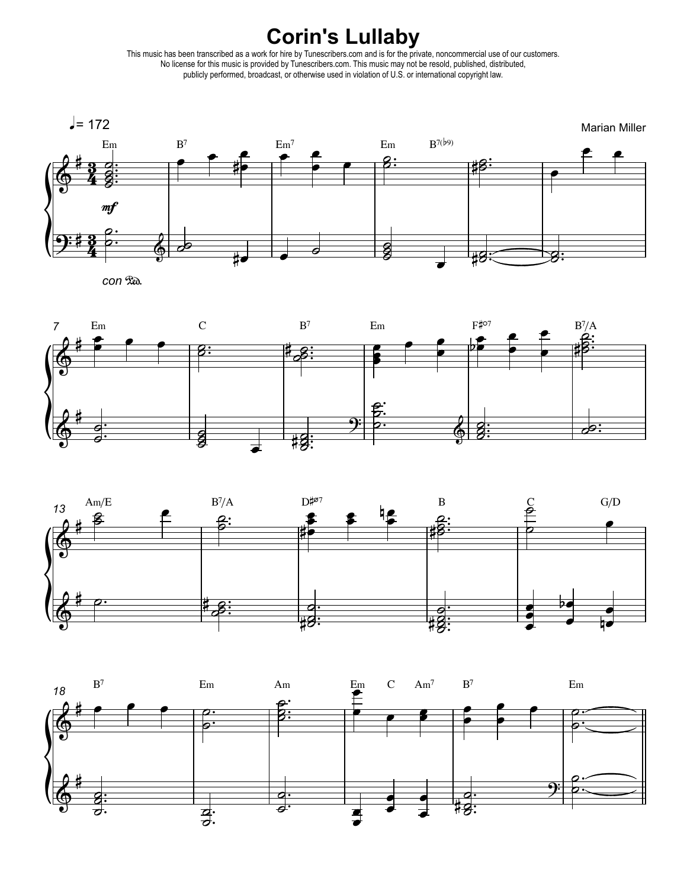## **Corin's Lullaby**

This music has been transcribed as a work for hire by Tunescribers.com and is for the private, noncommercial use of our customers. No license forthis music is provided by Tunescribers.com. This music may not be resold, published, distributed, publicly performed, broadcast, or otherwise used in violation of U.S. or international copyright law.



con Red.